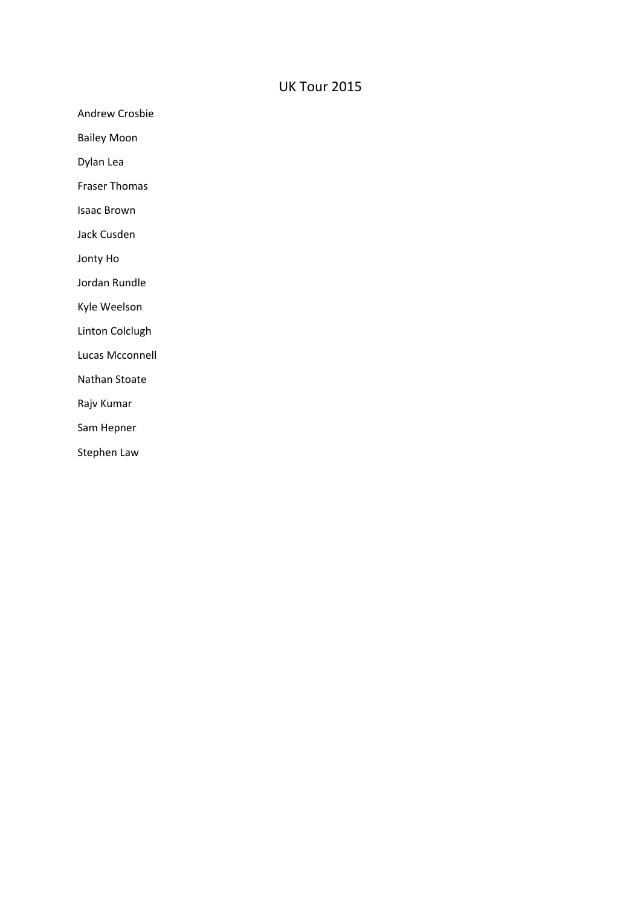## UK Tour 2015

Andrew Crosbie

Bailey Moon

Dylan Lea

Fraser Thomas

Isaac Brown

Jack Cusden

Jonty Ho

Jordan Rundle

Kyle Weelson

Linton Colclugh

Lucas Mcconnell

Nathan Stoate

Rajv Kumar

Sam Hepner

Stephen Law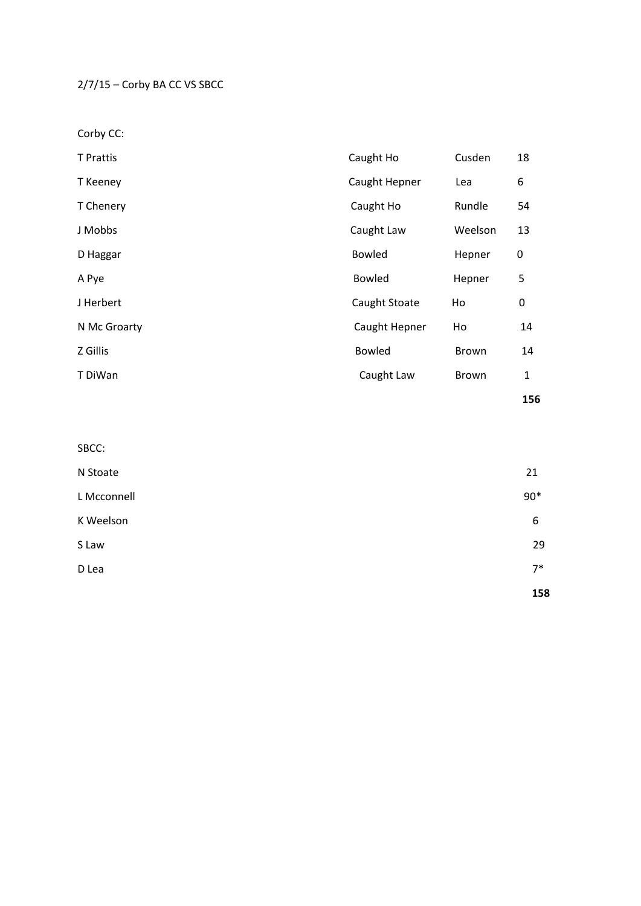2/7/15 – Corby BA CC VS SBCC

Corby CC:

| <b>T</b> Prattis | Caught Ho     | Cusden  | 18           |
|------------------|---------------|---------|--------------|
| T Keeney         | Caught Hepner | Lea     | 6            |
| T Chenery        | Caught Ho     |         | 54           |
| J Mobbs          | Caught Law    | Weelson | 13           |
| D Haggar         | <b>Bowled</b> | Hepner  | 0            |
| A Pye            | <b>Bowled</b> | Hepner  | 5            |
| J Herbert        | Caught Stoate | Ho      | 0            |
| N Mc Groarty     | Caught Hepner | Ho      | 14           |
| Z Gillis         | <b>Bowled</b> | Brown   | 14           |
| T DiWan          | Caught Law    | Brown   | $\mathbf{1}$ |
|                  |               |         | 156          |

| SBCC:       |       |
|-------------|-------|
| N Stoate    | 21    |
| L Mcconnell | $90*$ |
| K Weelson   | 6     |
| S Law       | 29    |
| D Lea       | $7*$  |
|             | 158   |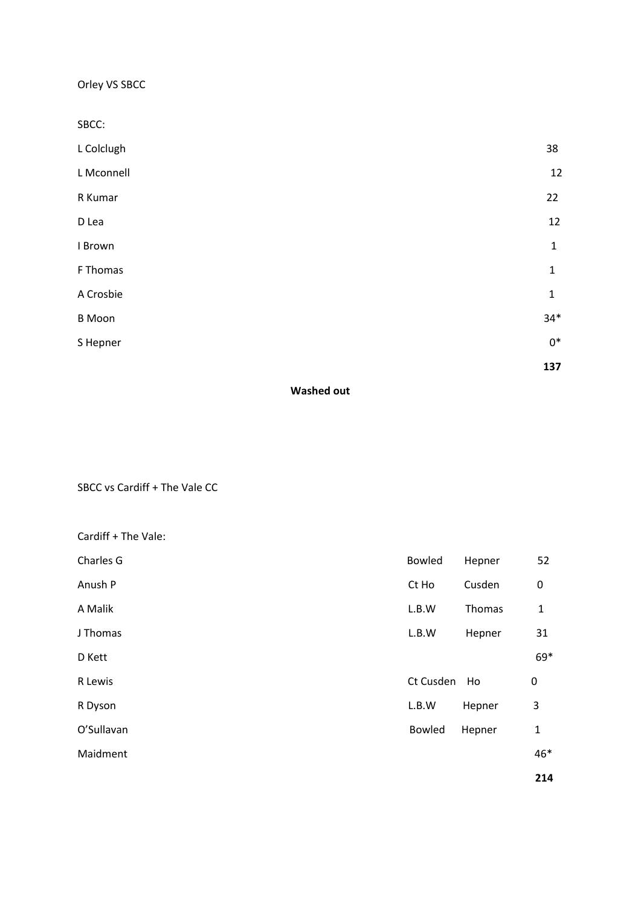Orley VS SBCC

| SBCC:         |              |
|---------------|--------------|
| L Colclugh    | 38           |
| L Mconnell    | 12           |
| R Kumar       | 22           |
| D Lea         | 12           |
| I Brown       | $\mathbf{1}$ |
| F Thomas      | $\mathbf{1}$ |
| A Crosbie     | $\mathbf{1}$ |
| <b>B</b> Moon | $34*$        |
| S Hepner      | $0^*$        |
|               | 137          |

## **Washed out**

SBCC vs Cardiff + The Vale CC

| Cardiff + The Vale: |           |        |              |
|---------------------|-----------|--------|--------------|
| Charles G           | Bowled    | Hepner | 52           |
| Anush P             | Ct Ho     | Cusden | 0            |
| A Malik             | L.B.W     | Thomas | $\mathbf{1}$ |
| J Thomas            | L.B.W     | Hepner | 31           |
| D Kett              |           |        | 69*          |
| R Lewis             | Ct Cusden | Ho     | 0            |
| R Dyson             | L.B.W     | Hepner | 3            |
| O'Sullavan          | Bowled    | Hepner | $\mathbf{1}$ |
| Maidment            |           |        | 46*          |
|                     |           |        | 214          |